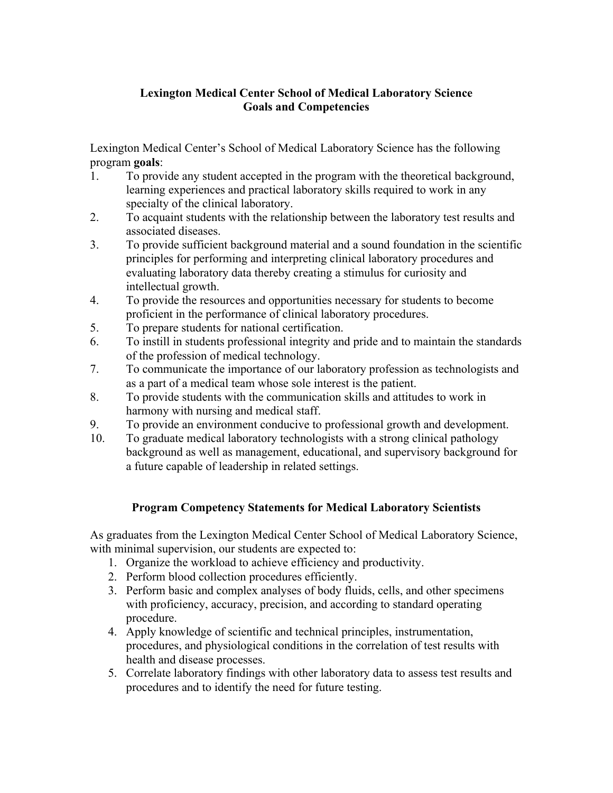## **Lexington Medical Center School of Medical Laboratory Science Goals and Competencies**

Lexington Medical Center's School of Medical Laboratory Science has the following program **goals**:

- 1. To provide any student accepted in the program with the theoretical background, learning experiences and practical laboratory skills required to work in any specialty of the clinical laboratory.
- 2. To acquaint students with the relationship between the laboratory test results and associated diseases.
- 3. To provide sufficient background material and a sound foundation in the scientific principles for performing and interpreting clinical laboratory procedures and evaluating laboratory data thereby creating a stimulus for curiosity and intellectual growth.
- 4. To provide the resources and opportunities necessary for students to become proficient in the performance of clinical laboratory procedures.
- 5. To prepare students for national certification.
- 6. To instill in students professional integrity and pride and to maintain the standards of the profession of medical technology.
- 7. To communicate the importance of our laboratory profession as technologists and as a part of a medical team whose sole interest is the patient.
- 8. To provide students with the communication skills and attitudes to work in harmony with nursing and medical staff.
- 9. To provide an environment conducive to professional growth and development.
- 10. To graduate medical laboratory technologists with a strong clinical pathology background as well as management, educational, and supervisory background for a future capable of leadership in related settings.

## **Program Competency Statements for Medical Laboratory Scientists**

As graduates from the Lexington Medical Center School of Medical Laboratory Science, with minimal supervision, our students are expected to:

- 1. Organize the workload to achieve efficiency and productivity.
- 2. Perform blood collection procedures efficiently.
- 3. Perform basic and complex analyses of body fluids, cells, and other specimens with proficiency, accuracy, precision, and according to standard operating procedure.
- 4. Apply knowledge of scientific and technical principles, instrumentation, procedures, and physiological conditions in the correlation of test results with health and disease processes.
- 5. Correlate laboratory findings with other laboratory data to assess test results and procedures and to identify the need for future testing.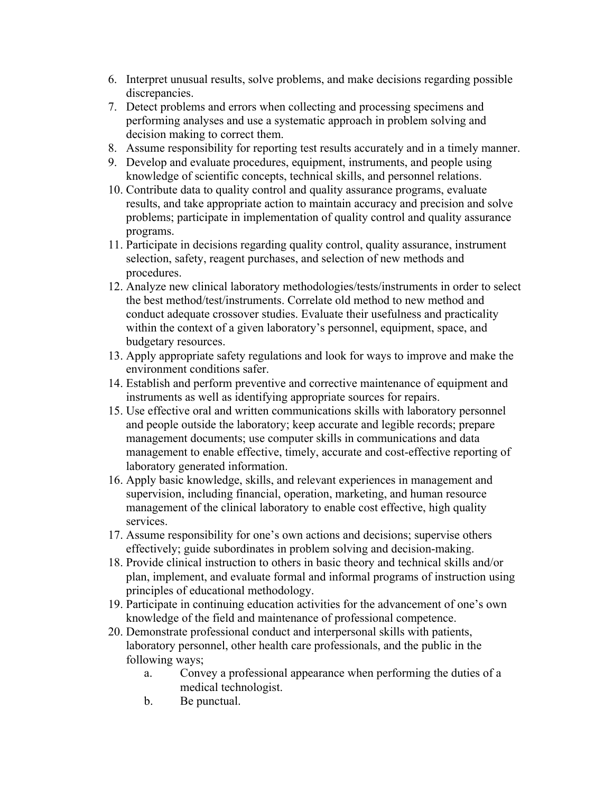- 6. Interpret unusual results, solve problems, and make decisions regarding possible discrepancies.
- 7. Detect problems and errors when collecting and processing specimens and performing analyses and use a systematic approach in problem solving and decision making to correct them.
- 8. Assume responsibility for reporting test results accurately and in a timely manner.
- 9. Develop and evaluate procedures, equipment, instruments, and people using knowledge of scientific concepts, technical skills, and personnel relations.
- 10. Contribute data to quality control and quality assurance programs, evaluate results, and take appropriate action to maintain accuracy and precision and solve problems; participate in implementation of quality control and quality assurance programs.
- 11. Participate in decisions regarding quality control, quality assurance, instrument selection, safety, reagent purchases, and selection of new methods and procedures.
- 12. Analyze new clinical laboratory methodologies/tests/instruments in order to select the best method/test/instruments. Correlate old method to new method and conduct adequate crossover studies. Evaluate their usefulness and practicality within the context of a given laboratory's personnel, equipment, space, and budgetary resources.
- 13. Apply appropriate safety regulations and look for ways to improve and make the environment conditions safer.
- 14. Establish and perform preventive and corrective maintenance of equipment and instruments as well as identifying appropriate sources for repairs.
- 15. Use effective oral and written communications skills with laboratory personnel and people outside the laboratory; keep accurate and legible records; prepare management documents; use computer skills in communications and data management to enable effective, timely, accurate and cost-effective reporting of laboratory generated information.
- 16. Apply basic knowledge, skills, and relevant experiences in management and supervision, including financial, operation, marketing, and human resource management of the clinical laboratory to enable cost effective, high quality services.
- 17. Assume responsibility for one's own actions and decisions; supervise others effectively; guide subordinates in problem solving and decision-making.
- 18. Provide clinical instruction to others in basic theory and technical skills and/or plan, implement, and evaluate formal and informal programs of instruction using principles of educational methodology.
- 19. Participate in continuing education activities for the advancement of one's own knowledge of the field and maintenance of professional competence.
- 20. Demonstrate professional conduct and interpersonal skills with patients, laboratory personnel, other health care professionals, and the public in the following ways;
	- a. Convey a professional appearance when performing the duties of a medical technologist.
	- b. Be punctual.